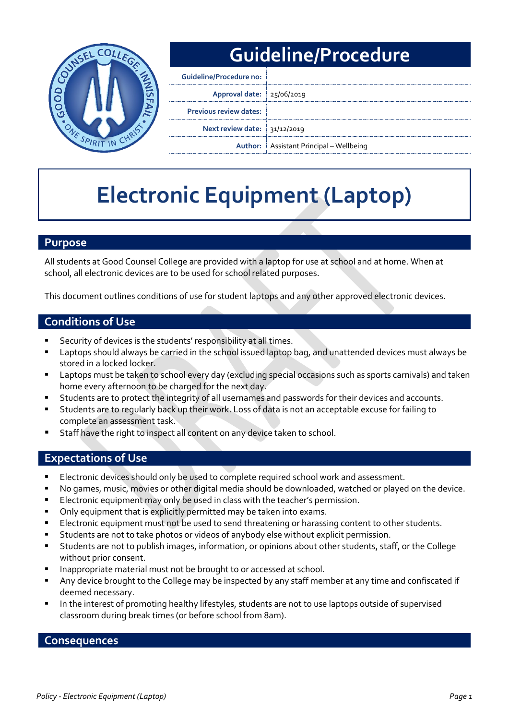

# **Guideline/Procedure**

| <b>Guideline/Procedure no:</b> |                                                |
|--------------------------------|------------------------------------------------|
| Approval date: 25/06/2019      |                                                |
| <b>Previous review dates:</b>  |                                                |
| Next review date: 31/12/2019   |                                                |
|                                | <b>Author:</b> Assistant Principal – Wellbeing |

# **Electronic Equipment (Laptop)**

## **Purpose**

All students at Good Counsel College are provided with a laptop for use at school and at home. When at school, all electronic devices are to be used for school related purposes.

This document outlines conditions of use for student laptops and any other approved electronic devices.

## **Conditions of Use**

- Security of devices is the students' responsibility at all times.
- Laptops should always be carried in the school issued laptop bag, and unattended devices must always be stored in a locked locker.
- Laptops must be taken to school every day (excluding special occasions such as sports carnivals) and taken home every afternoon to be charged for the next day.
- Students are to protect the integrity of all usernames and passwords for their devices and accounts.
- Students are to regularly back up their work. Loss of data is not an acceptable excuse for failing to complete an assessment task.
- Staff have the right to inspect all content on any device taken to school.

#### **Expectations of Use**

- **Electronic devices should only be used to complete required school work and assessment.**
- No games, music, movies or other digital media should be downloaded, watched or played on the device.
- Electronic equipment may only be used in class with the teacher's permission.
- Only equipment that is explicitly permitted may be taken into exams.
- Electronic equipment must not be used to send threatening or harassing content to other students.
- Students are not to take photos or videos of anybody else without explicit permission.
- Students are not to publish images, information, or opinions about other students, staff, or the College without prior consent.
- Inappropriate material must not be brought to or accessed at school.
- Any device brought to the College may be inspected by any staff member at any time and confiscated if deemed necessary.
- In the interest of promoting healthy lifestyles, students are not to use laptops outside of supervised classroom during break times (or before school from 8am).

#### **Consequences**